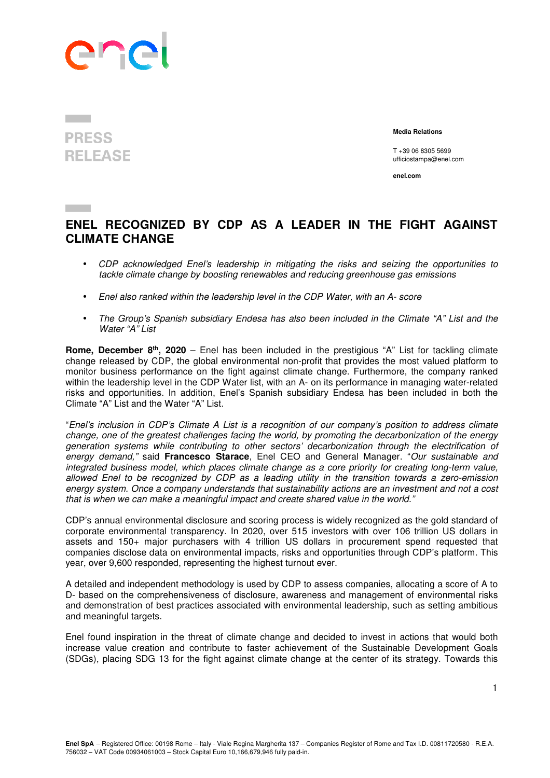

## **PRESS RELEASE**

 **Media Relations** 

T +39 06 8305 5699 ufficiostampa@enel.com

**enel.com**

## **ENEL RECOGNIZED BY CDP AS A LEADER IN THE FIGHT AGAINST CLIMATE CHANGE**

- CDP acknowledged Enel's leadership in mitigating the risks and seizing the opportunities to tackle climate change by boosting renewables and reducing greenhouse gas emissions
- Enel also ranked within the leadership level in the CDP Water, with an A- score
- The Group's Spanish subsidiary Endesa has also been included in the Climate "A" List and the Water "A" List

**Rome, December 8th, 2020** – Enel has been included in the prestigious "A" List for tackling climate change released by CDP, the global environmental non-profit that provides the most valued platform to monitor business performance on the fight against climate change. Furthermore, the company ranked within the leadership level in the CDP Water list, with an A- on its performance in managing water-related risks and opportunities. In addition, Enel's Spanish subsidiary Endesa has been included in both the Climate "A" List and the Water "A" List.

"Enel's inclusion in CDP's Climate A List is a recognition of our company's position to address climate change, one of the greatest challenges facing the world, by promoting the decarbonization of the energy generation systems while contributing to other sectors' decarbonization through the electrification of energy demand," said **Francesco Starace**, Enel CEO and General Manager. "Our sustainable and integrated business model, which places climate change as a core priority for creating long-term value, allowed Enel to be recognized by CDP as a leading utility in the transition towards a zero-emission energy system. Once a company understands that sustainability actions are an investment and not a cost that is when we can make a meaningful impact and create shared value in the world."

CDP's annual environmental disclosure and scoring process is widely recognized as the gold standard of corporate environmental transparency. In 2020, over 515 investors with over 106 trillion US dollars in assets and 150+ major purchasers with 4 trillion US dollars in procurement spend requested that companies disclose data on environmental impacts, risks and opportunities through CDP's platform. This year, over 9,600 responded, representing the highest turnout ever.

A detailed and independent methodology is used by CDP to assess companies, allocating a score of A to D- based on the comprehensiveness of disclosure, awareness and management of environmental risks and demonstration of best practices associated with environmental leadership, such as setting ambitious and meaningful targets.

Enel found inspiration in the threat of climate change and decided to invest in actions that would both increase value creation and contribute to faster achievement of the Sustainable Development Goals (SDGs), placing SDG 13 for the fight against climate change at the center of its strategy. Towards this